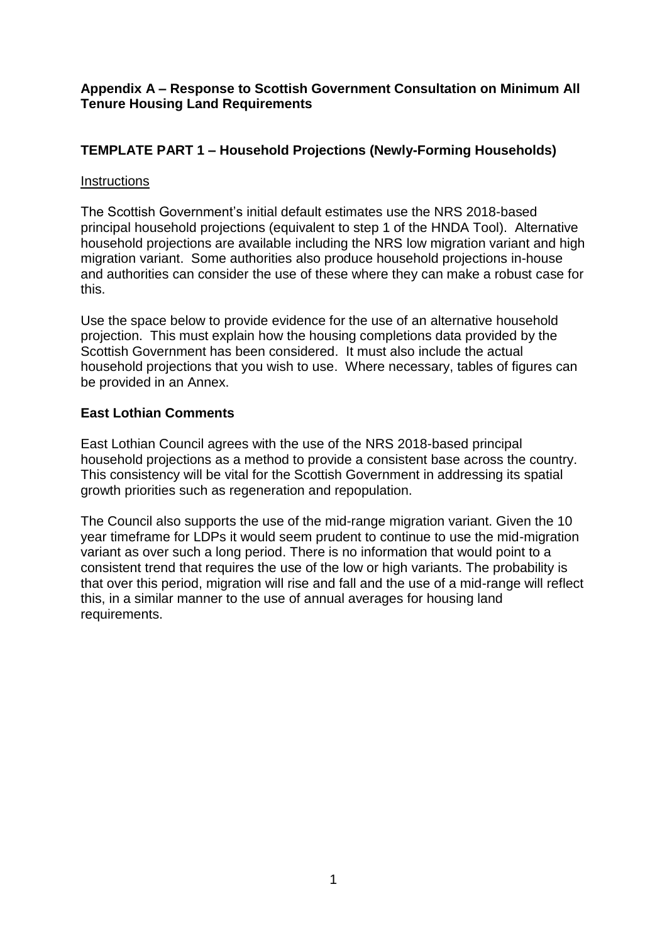**Appendix A – Response to Scottish Government Consultation on Minimum All Tenure Housing Land Requirements** 

# **TEMPLATE PART 1 – Household Projections (Newly-Forming Households)**

### **Instructions**

The Scottish Government's initial default estimates use the NRS 2018-based principal household projections (equivalent to step 1 of the HNDA Tool). Alternative household projections are available including the NRS low migration variant and high migration variant. Some authorities also produce household projections in-house and authorities can consider the use of these where they can make a robust case for this.

Use the space below to provide evidence for the use of an alternative household projection. This must explain how the housing completions data provided by the Scottish Government has been considered. It must also include the actual household projections that you wish to use. Where necessary, tables of figures can be provided in an Annex.

# **East Lothian Comments**

East Lothian Council agrees with the use of the NRS 2018-based principal household projections as a method to provide a consistent base across the country. This consistency will be vital for the Scottish Government in addressing its spatial growth priorities such as regeneration and repopulation.

The Council also supports the use of the mid-range migration variant. Given the 10 year timeframe for LDPs it would seem prudent to continue to use the mid-migration variant as over such a long period. There is no information that would point to a consistent trend that requires the use of the low or high variants. The probability is that over this period, migration will rise and fall and the use of a mid-range will reflect this, in a similar manner to the use of annual averages for housing land requirements.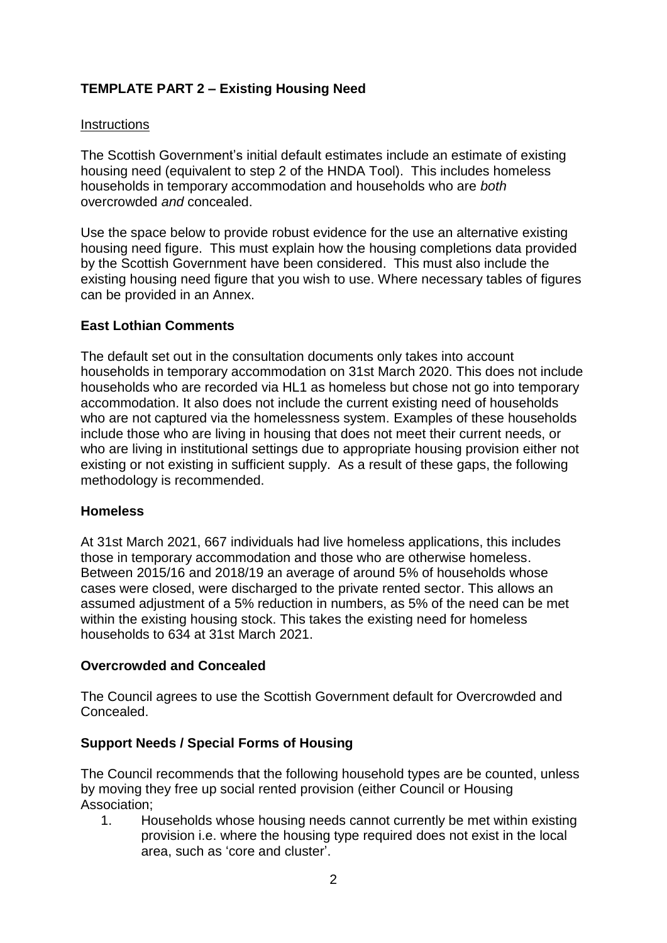# **TEMPLATE PART 2 – Existing Housing Need**

#### **Instructions**

The Scottish Government's initial default estimates include an estimate of existing housing need (equivalent to step 2 of the HNDA Tool). This includes homeless households in temporary accommodation and households who are *both* overcrowded *and* concealed.

Use the space below to provide robust evidence for the use an alternative existing housing need figure. This must explain how the housing completions data provided by the Scottish Government have been considered. This must also include the existing housing need figure that you wish to use. Where necessary tables of figures can be provided in an Annex.

# **East Lothian Comments**

The default set out in the consultation documents only takes into account households in temporary accommodation on 31st March 2020. This does not include households who are recorded via HL1 as homeless but chose not go into temporary accommodation. It also does not include the current existing need of households who are not captured via the homelessness system. Examples of these households include those who are living in housing that does not meet their current needs, or who are living in institutional settings due to appropriate housing provision either not existing or not existing in sufficient supply. As a result of these gaps, the following methodology is recommended.

### **Homeless**

At 31st March 2021, 667 individuals had live homeless applications, this includes those in temporary accommodation and those who are otherwise homeless. Between 2015/16 and 2018/19 an average of around 5% of households whose cases were closed, were discharged to the private rented sector. This allows an assumed adjustment of a 5% reduction in numbers, as 5% of the need can be met within the existing housing stock. This takes the existing need for homeless households to 634 at 31st March 2021.

### **Overcrowded and Concealed**

The Council agrees to use the Scottish Government default for Overcrowded and **Concealed.** 

### **Support Needs / Special Forms of Housing**

The Council recommends that the following household types are be counted, unless by moving they free up social rented provision (either Council or Housing Association;

1. Households whose housing needs cannot currently be met within existing provision i.e. where the housing type required does not exist in the local area, such as 'core and cluster'.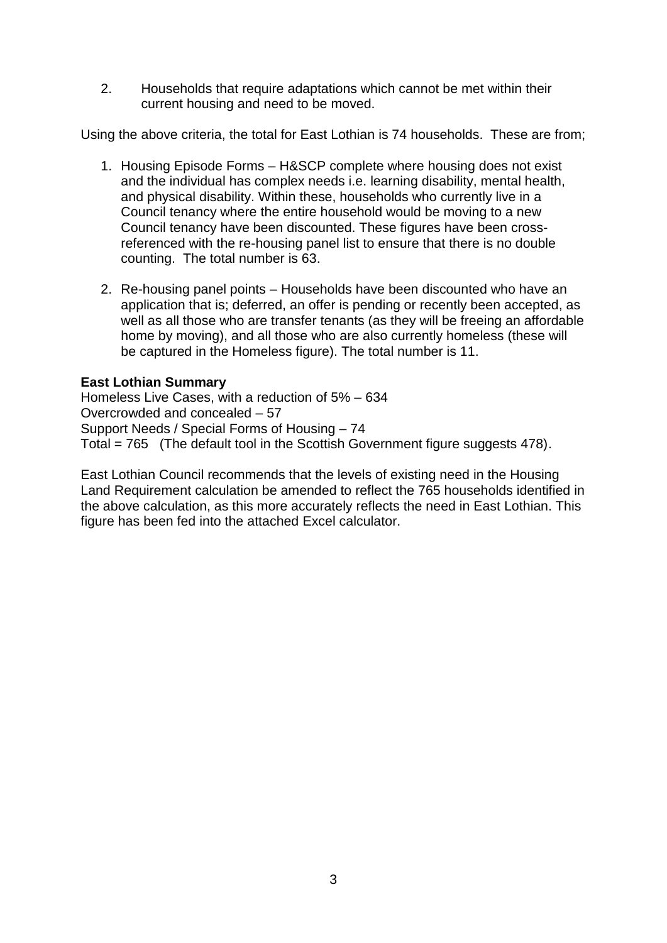2. Households that require adaptations which cannot be met within their current housing and need to be moved.

Using the above criteria, the total for East Lothian is 74 households. These are from;

- 1. Housing Episode Forms H&SCP complete where housing does not exist and the individual has complex needs i.e. learning disability, mental health, and physical disability. Within these, households who currently live in a Council tenancy where the entire household would be moving to a new Council tenancy have been discounted. These figures have been crossreferenced with the re-housing panel list to ensure that there is no double counting. The total number is 63.
- 2. Re-housing panel points Households have been discounted who have an application that is; deferred, an offer is pending or recently been accepted, as well as all those who are transfer tenants (as they will be freeing an affordable home by moving), and all those who are also currently homeless (these will be captured in the Homeless figure). The total number is 11.

# **East Lothian Summary**

Homeless Live Cases, with a reduction of 5% – 634 Overcrowded and concealed – 57 Support Needs / Special Forms of Housing – 74 Total = 765 (The default tool in the Scottish Government figure suggests 478).

East Lothian Council recommends that the levels of existing need in the Housing Land Requirement calculation be amended to reflect the 765 households identified in the above calculation, as this more accurately reflects the need in East Lothian. This figure has been fed into the attached Excel calculator.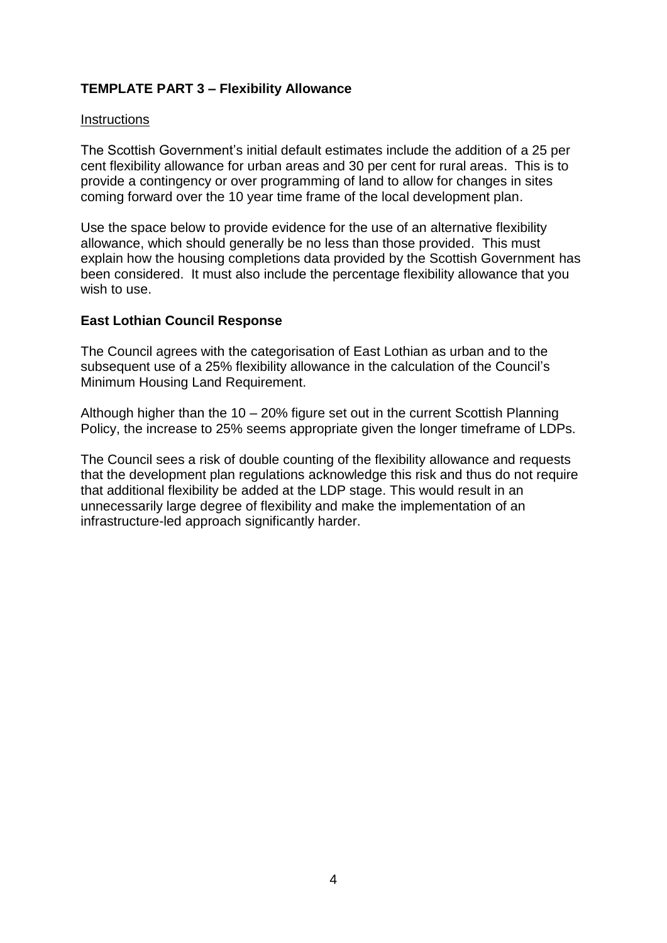# **TEMPLATE PART 3 – Flexibility Allowance**

#### **Instructions**

The Scottish Government's initial default estimates include the addition of a 25 per cent flexibility allowance for urban areas and 30 per cent for rural areas. This is to provide a contingency or over programming of land to allow for changes in sites coming forward over the 10 year time frame of the local development plan.

Use the space below to provide evidence for the use of an alternative flexibility allowance, which should generally be no less than those provided. This must explain how the housing completions data provided by the Scottish Government has been considered. It must also include the percentage flexibility allowance that you wish to use.

#### **East Lothian Council Response**

The Council agrees with the categorisation of East Lothian as urban and to the subsequent use of a 25% flexibility allowance in the calculation of the Council's Minimum Housing Land Requirement.

Although higher than the 10 – 20% figure set out in the current Scottish Planning Policy, the increase to 25% seems appropriate given the longer timeframe of LDPs.

The Council sees a risk of double counting of the flexibility allowance and requests that the development plan regulations acknowledge this risk and thus do not require that additional flexibility be added at the LDP stage. This would result in an unnecessarily large degree of flexibility and make the implementation of an infrastructure-led approach significantly harder.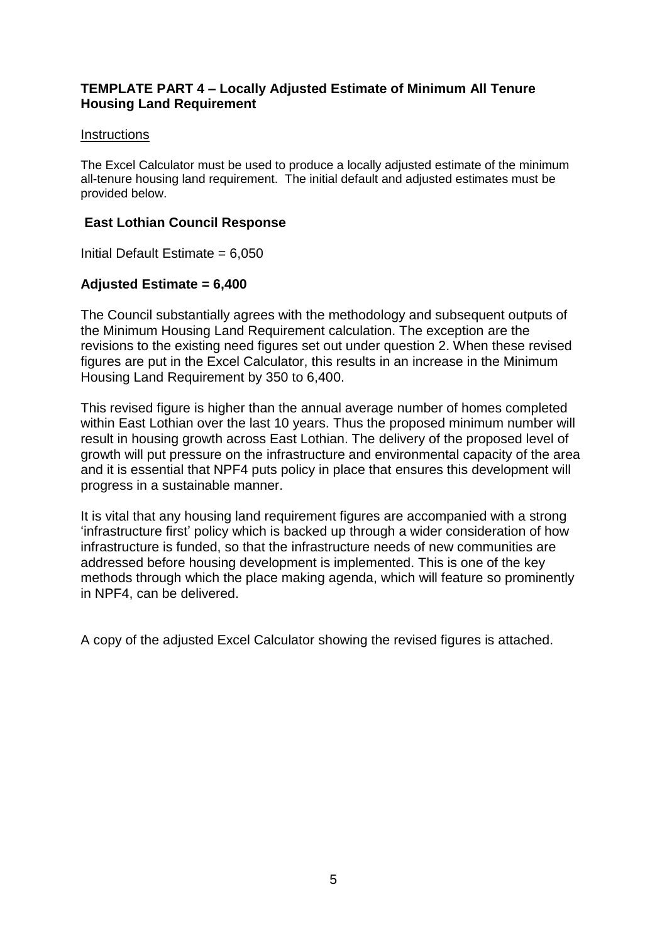### **TEMPLATE PART 4 – Locally Adjusted Estimate of Minimum All Tenure Housing Land Requirement**

#### **Instructions**

The Excel Calculator must be used to produce a locally adjusted estimate of the minimum all-tenure housing land requirement. The initial default and adjusted estimates must be provided below.

### **East Lothian Council Response**

Initial Default Estimate  $= 6.050$ 

# **Adjusted Estimate = 6,400**

The Council substantially agrees with the methodology and subsequent outputs of the Minimum Housing Land Requirement calculation. The exception are the revisions to the existing need figures set out under question 2. When these revised figures are put in the Excel Calculator, this results in an increase in the Minimum Housing Land Requirement by 350 to 6,400.

This revised figure is higher than the annual average number of homes completed within East Lothian over the last 10 years. Thus the proposed minimum number will result in housing growth across East Lothian. The delivery of the proposed level of growth will put pressure on the infrastructure and environmental capacity of the area and it is essential that NPF4 puts policy in place that ensures this development will progress in a sustainable manner.

It is vital that any housing land requirement figures are accompanied with a strong 'infrastructure first' policy which is backed up through a wider consideration of how infrastructure is funded, so that the infrastructure needs of new communities are addressed before housing development is implemented. This is one of the key methods through which the place making agenda, which will feature so prominently in NPF4, can be delivered.

A copy of the adjusted Excel Calculator showing the revised figures is attached.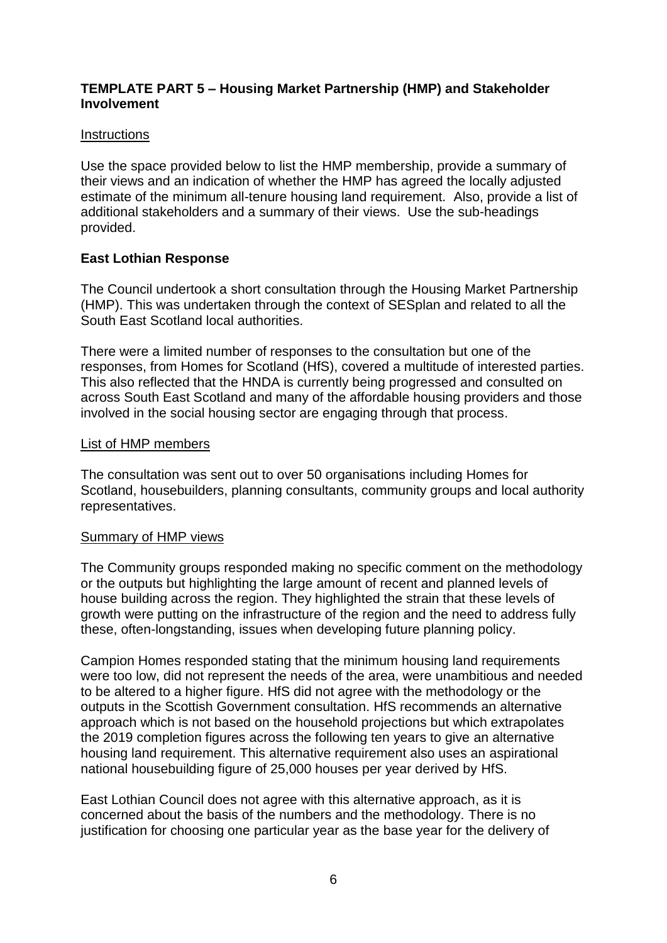### **TEMPLATE PART 5 – Housing Market Partnership (HMP) and Stakeholder Involvement**

#### **Instructions**

Use the space provided below to list the HMP membership, provide a summary of their views and an indication of whether the HMP has agreed the locally adjusted estimate of the minimum all-tenure housing land requirement. Also, provide a list of additional stakeholders and a summary of their views. Use the sub-headings provided.

# **East Lothian Response**

The Council undertook a short consultation through the Housing Market Partnership (HMP). This was undertaken through the context of SESplan and related to all the South East Scotland local authorities.

There were a limited number of responses to the consultation but one of the responses, from Homes for Scotland (HfS), covered a multitude of interested parties. This also reflected that the HNDA is currently being progressed and consulted on across South East Scotland and many of the affordable housing providers and those involved in the social housing sector are engaging through that process.

#### List of HMP members

The consultation was sent out to over 50 organisations including Homes for Scotland, housebuilders, planning consultants, community groups and local authority representatives.

### Summary of HMP views

The Community groups responded making no specific comment on the methodology or the outputs but highlighting the large amount of recent and planned levels of house building across the region. They highlighted the strain that these levels of growth were putting on the infrastructure of the region and the need to address fully these, often-longstanding, issues when developing future planning policy.

Campion Homes responded stating that the minimum housing land requirements were too low, did not represent the needs of the area, were unambitious and needed to be altered to a higher figure. HfS did not agree with the methodology or the outputs in the Scottish Government consultation. HfS recommends an alternative approach which is not based on the household projections but which extrapolates the 2019 completion figures across the following ten years to give an alternative housing land requirement. This alternative requirement also uses an aspirational national housebuilding figure of 25,000 houses per year derived by HfS.

East Lothian Council does not agree with this alternative approach, as it is concerned about the basis of the numbers and the methodology. There is no justification for choosing one particular year as the base year for the delivery of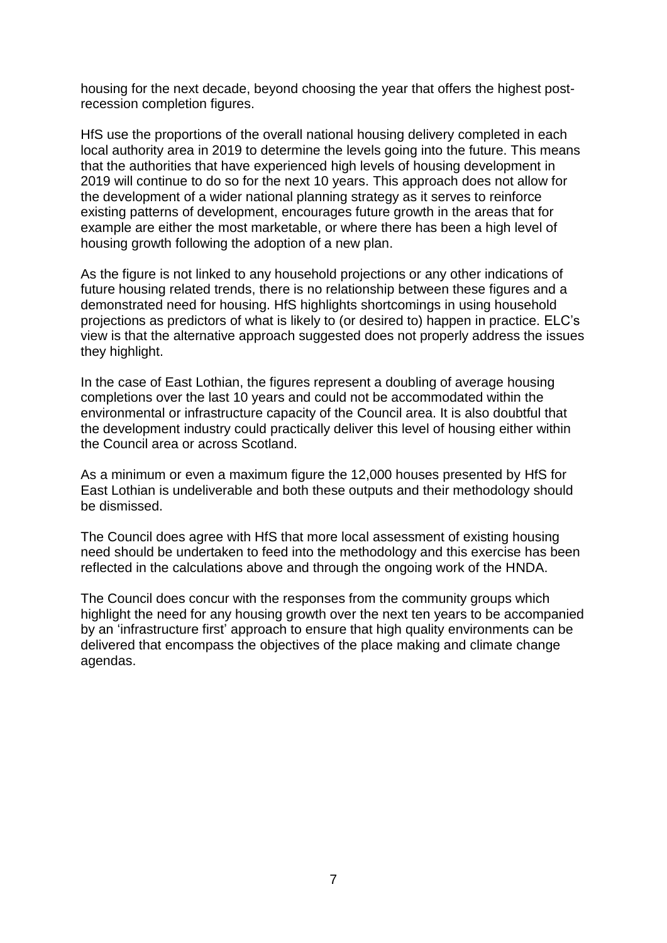housing for the next decade, beyond choosing the year that offers the highest postrecession completion figures.

HfS use the proportions of the overall national housing delivery completed in each local authority area in 2019 to determine the levels going into the future. This means that the authorities that have experienced high levels of housing development in 2019 will continue to do so for the next 10 years. This approach does not allow for the development of a wider national planning strategy as it serves to reinforce existing patterns of development, encourages future growth in the areas that for example are either the most marketable, or where there has been a high level of housing growth following the adoption of a new plan.

As the figure is not linked to any household projections or any other indications of future housing related trends, there is no relationship between these figures and a demonstrated need for housing. HfS highlights shortcomings in using household projections as predictors of what is likely to (or desired to) happen in practice. ELC's view is that the alternative approach suggested does not properly address the issues they highlight.

In the case of East Lothian, the figures represent a doubling of average housing completions over the last 10 years and could not be accommodated within the environmental or infrastructure capacity of the Council area. It is also doubtful that the development industry could practically deliver this level of housing either within the Council area or across Scotland.

As a minimum or even a maximum figure the 12,000 houses presented by HfS for East Lothian is undeliverable and both these outputs and their methodology should be dismissed.

The Council does agree with HfS that more local assessment of existing housing need should be undertaken to feed into the methodology and this exercise has been reflected in the calculations above and through the ongoing work of the HNDA.

The Council does concur with the responses from the community groups which highlight the need for any housing growth over the next ten years to be accompanied by an 'infrastructure first' approach to ensure that high quality environments can be delivered that encompass the objectives of the place making and climate change agendas.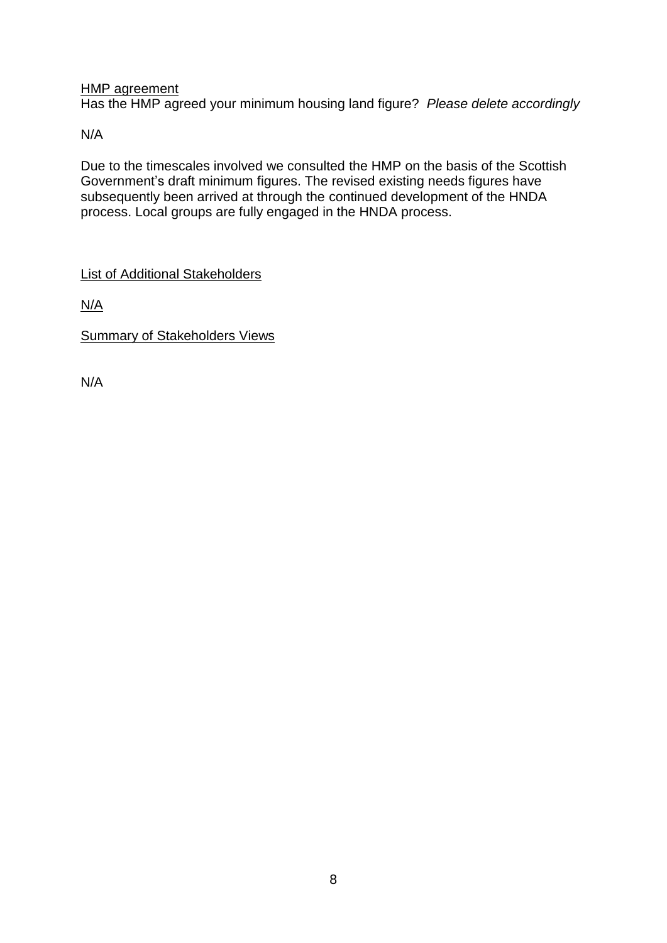HMP agreement

Has the HMP agreed your minimum housing land figure? *Please delete accordingly*

N/A

Due to the timescales involved we consulted the HMP on the basis of the Scottish Government's draft minimum figures. The revised existing needs figures have subsequently been arrived at through the continued development of the HNDA process. Local groups are fully engaged in the HNDA process.

List of Additional Stakeholders

N/A

Summary of Stakeholders Views

N/A